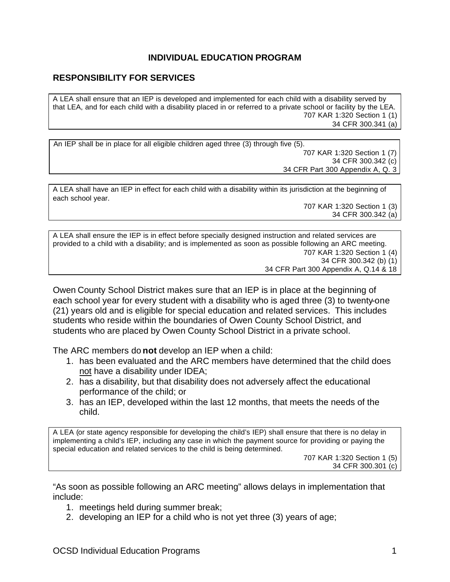## **INDIVIDUAL EDUCATION PROGRAM**

## **RESPONSIBILITY FOR SERVICES**

A LEA shall ensure that an IEP is developed and implemented for each child with a disability served by that LEA, and for each child with a disability placed in or referred to a private school or facility by the LEA. 707 KAR 1:320 Section 1 (1) 34 CFR 300.341 (a)

An IEP shall be in place for all eligible children aged three (3) through five (5). 707 KAR 1:320 Section 1 (7) 34 CFR 300.342 (c) 34 CFR Part 300 Appendix A, Q. 3

A LEA shall have an IEP in effect for each child with a disability within its jurisdiction at the beginning of each school year.

707 KAR 1:320 Section 1 (3) 34 CFR 300.342 (a)

A LEA shall ensure the IEP is in effect before specially designed instruction and related services are provided to a child with a disability; and is implemented as soon as possible following an ARC meeting. 707 KAR 1:320 Section 1 (4) 34 CFR 300.342 (b) (1) 34 CFR Part 300 Appendix A, Q.14 & 18

Owen County School District makes sure that an IEP is in place at the beginning of each school year for every student with a disability who is aged three (3) to twenty-one (21) years old and is eligible for special education and related services. This includes students who reside within the boundaries of Owen County School District, and students who are placed by Owen County School District in a private school.

The ARC members do **not** develop an IEP when a child:

- 1. has been evaluated and the ARC members have determined that the child does not have a disability under IDEA;
- 2. has a disability, but that disability does not adversely affect the educational performance of the child; or
- 3. has an IEP, developed within the last 12 months, that meets the needs of the child.

A LEA (or state agency responsible for developing the child's IEP) shall ensure that there is no delay in implementing a child's IEP, including any case in which the payment source for providing or paying the special education and related services to the child is being determined.

707 KAR 1:320 Section 1 (5) 34 CFR 300.301 (c)

"As soon as possible following an ARC meeting" allows delays in implementation that include:

- 1. meetings held during summer break;
- 2. developing an IEP for a child who is not yet three (3) years of age;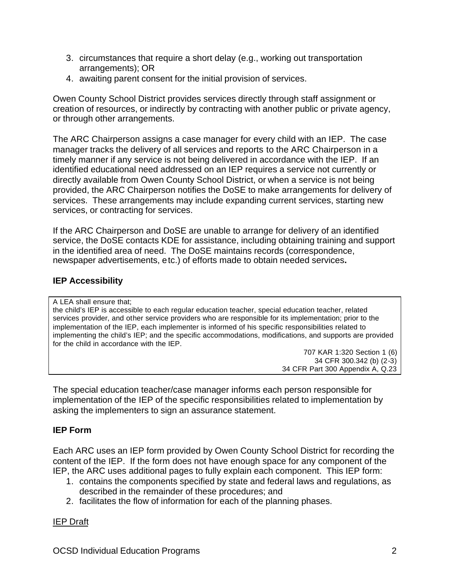- 3. circumstances that require a short delay (e.g., working out transportation arrangements); OR
- 4. awaiting parent consent for the initial provision of services.

Owen County School District provides services directly through staff assignment or creation of resources, or indirectly by contracting with another public or private agency, or through other arrangements.

The ARC Chairperson assigns a case manager for every child with an IEP. The case manager tracks the delivery of all services and reports to the ARC Chairperson in a timely manner if any service is not being delivered in accordance with the IEP. If an identified educational need addressed on an IEP requires a service not currently or directly available from Owen County School District, or when a service is not being provided, the ARC Chairperson notifies the DoSE to make arrangements for delivery of services. These arrangements may include expanding current services, starting new services, or contracting for services.

If the ARC Chairperson and DoSE are unable to arrange for delivery of an identified service, the DoSE contacts KDE for assistance, including obtaining training and support in the identified area of need. The DoSE maintains records (correspondence, newspaper advertisements, etc.) of efforts made to obtain needed services**.**

# **IEP Accessibility**

A LEA shall ensure that; the child's IEP is accessible to each regular education teacher, special education teacher, related services provider, and other service providers who are responsible for its implementation; prior to the implementation of the IEP, each implementer is informed of his specific responsibilities related to implementing the child's IEP; and the specific accommodations, modifications, and supports are provided for the child in accordance with the IEP.

707 KAR 1:320 Section 1 (6) 34 CFR 300.342 (b) (2-3) 34 CFR Part 300 Appendix A, Q.23

The special education teacher/case manager informs each person responsible for implementation of the IEP of the specific responsibilities related to implementation by asking the implementers to sign an assurance statement.

# **IEP Form**

Each ARC uses an IEP form provided by Owen County School District for recording the content of the IEP. If the form does not have enough space for any component of the IEP, the ARC uses additional pages to fully explain each component. This IEP form:

- 1. contains the components specified by state and federal laws and regulations, as described in the remainder of these procedures; and
- 2. facilitates the flow of information for each of the planning phases.

# IEP Draft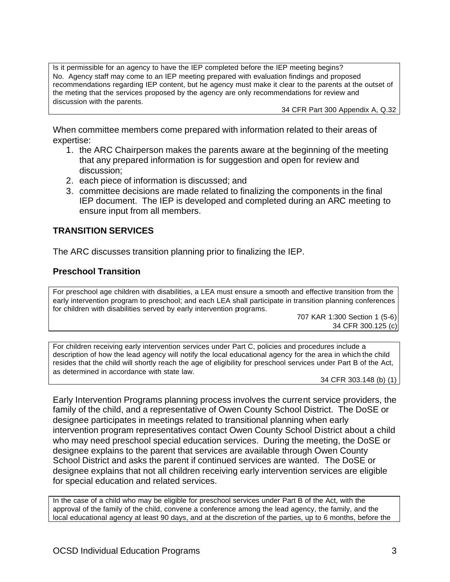Is it permissible for an agency to have the IEP completed before the IEP meeting begins? No. Agency staff may come to an IEP meeting prepared with evaluation findings and proposed recommendations regarding IEP content, but he agency must make it clear to the parents at the outset of the meting that the services proposed by the agency are only recommendations for review and discussion with the parents.

34 CFR Part 300 Appendix A, Q.32

When committee members come prepared with information related to their areas of expertise:

- 1. the ARC Chairperson makes the parents aware at the beginning of the meeting that any prepared information is for suggestion and open for review and discussion;
- 2. each piece of information is discussed; and
- 3. committee decisions are made related to finalizing the components in the final IEP document. The IEP is developed and completed during an ARC meeting to ensure input from all members.

## **TRANSITION SERVICES**

The ARC discusses transition planning prior to finalizing the IEP.

### **Preschool Transition**

For preschool age children with disabilities, a LEA must ensure a smooth and effective transition from the early intervention program to preschool; and each LEA shall participate in transition planning conferences for children with disabilities served by early intervention programs.

707 KAR 1:300 Section 1 (5-6) 34 CFR 300.125 (c)

For children receiving early intervention services under Part C, policies and procedures include a description of how the lead agency will notify the local educational agency for the area in which the child resides that the child will shortly reach the age of eligibility for preschool services under Part B of the Act, as determined in accordance with state law.

34 CFR 303.148 (b) (1)

Early Intervention Programs planning process involves the current service providers, the family of the child, and a representative of Owen County School District. The DoSE or designee participates in meetings related to transitional planning when early intervention program representatives contact Owen County School District about a child who may need preschool special education services. During the meeting, the DoSE or designee explains to the parent that services are available through Owen County School District and asks the parent if continued services are wanted. The DoSE or designee explains that not all children receiving early intervention services are eligible for special education and related services.

In the case of a child who may be eligible for preschool services under Part B of the Act, with the approval of the family of the child, convene a conference among the lead agency, the family, and the local educational agency at least 90 days, and at the discretion of the parties, up to 6 months, before the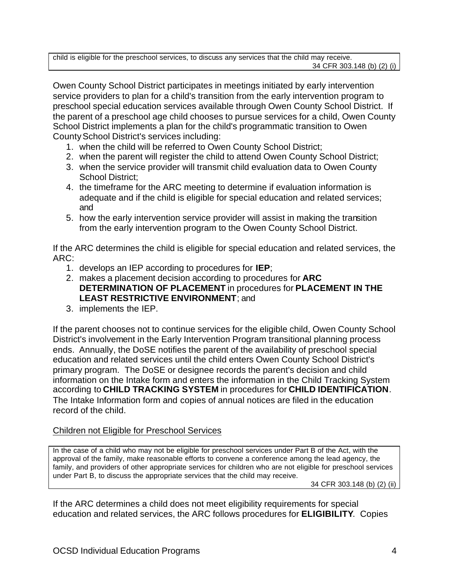child is eligible for the preschool services, to discuss any services that the child may receive. 34 CFR 303.148 (b) (2) (i)

Owen County School District participates in meetings initiated by early intervention service providers to plan for a child's transition from the early intervention program to preschool special education services available through Owen County School District. If the parent of a preschool age child chooses to pursue services for a child, Owen County School District implements a plan for the child's programmatic transition to Owen County School District's services including:

- 1. when the child will be referred to Owen County School District;
- 2. when the parent will register the child to attend Owen County School District;
- 3. when the service provider will transmit child evaluation data to Owen County School District;
- 4. the timeframe for the ARC meeting to determine if evaluation information is adequate and if the child is eligible for special education and related services; and
- 5. how the early intervention service provider will assist in making the transition from the early intervention program to the Owen County School District.

If the ARC determines the child is eligible for special education and related services, the ARC:

- 1. develops an IEP according to procedures for **IEP**;
- 2. makes a placement decision according to procedures for **ARC DETERMINATION OF PLACEMENT** in procedures for **PLACEMENT IN THE LEAST RESTRICTIVE ENVIRONMENT**; and
- 3. implements the IEP.

If the parent chooses not to continue services for the eligible child, Owen County School District's involvement in the Early Intervention Program transitional planning process ends. Annually, the DoSE notifies the parent of the availability of preschool special education and related services until the child enters Owen County School District's primary program. The DoSE or designee records the parent's decision and child information on the Intake form and enters the information in the Child Tracking System according to **CHILD TRACKING SYSTEM** in procedures for **CHILD IDENTIFICATION**. The Intake Information form and copies of annual notices are filed in the education record of the child.

### Children not Eligible for Preschool Services

In the case of a child who may not be eligible for preschool services under Part B of the Act, with the approval of the family, make reasonable efforts to convene a conference among the lead agency, the family, and providers of other appropriate services for children who are not eligible for preschool services under Part B, to discuss the appropriate services that the child may receive.

34 CFR 303.148 (b) (2) (ii)

If the ARC determines a child does not meet eligibility requirements for special education and related services, the ARC follows procedures for **ELIGIBILITY**. Copies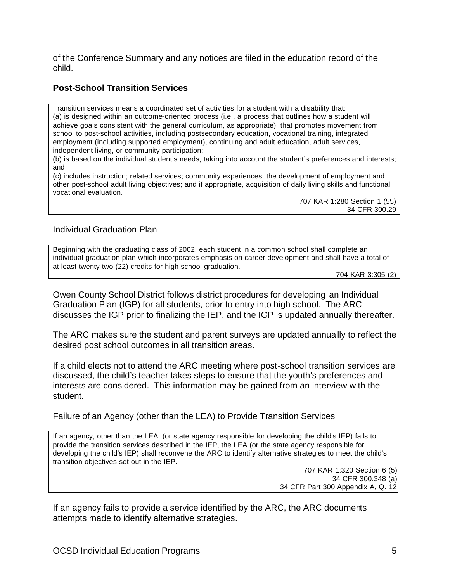of the Conference Summary and any notices are filed in the education record of the child.

# **Post-School Transition Services**

Transition services means a coordinated set of activities for a student with a disability that: (a) is designed within an outcome-oriented process (i.e., a process that outlines how a student will achieve goals consistent with the general curriculum, as appropriate), that promotes movement from school to post-school activities, including postsecondary education, vocational training, integrated employment (including supported employment), continuing and adult education, adult services, independent living, or community participation;

(b) is based on the individual student's needs, taking into account the student's preferences and interests; and

(c) includes instruction; related services; community experiences; the development of employment and other post-school adult living objectives; and if appropriate, acquisition of daily living skills and functional vocational evaluation.

707 KAR 1:280 Section 1 (55) 34 CFR 300.29

### Individual Graduation Plan

Beginning with the graduating class of 2002, each student in a common school shall complete an individual graduation plan which incorporates emphasis on career development and shall have a total of at least twenty-two (22) credits for high school graduation.

704 KAR 3:305 (2)

Owen County School District follows district procedures for developing an Individual Graduation Plan (IGP) for all students, prior to entry into high school. The ARC discusses the IGP prior to finalizing the IEP, and the IGP is updated annually thereafter.

The ARC makes sure the student and parent surveys are updated annually to reflect the desired post school outcomes in all transition areas.

If a child elects not to attend the ARC meeting where post-school transition services are discussed, the child's teacher takes steps to ensure that the youth's preferences and interests are considered. This information may be gained from an interview with the student.

### Failure of an Agency (other than the LEA) to Provide Transition Services

If an agency, other than the LEA, (or state agency responsible for developing the child's IEP) fails to provide the transition services described in the IEP, the LEA (or the state agency responsible for developing the child's IEP) shall reconvene the ARC to identify alternative strategies to meet the child's transition objectives set out in the IEP.

> 707 KAR 1:320 Section 6 (5) 34 CFR 300.348 (a) 34 CFR Part 300 Appendix A, Q. 12

If an agency fails to provide a service identified by the ARC, the ARC documents attempts made to identify alternative strategies.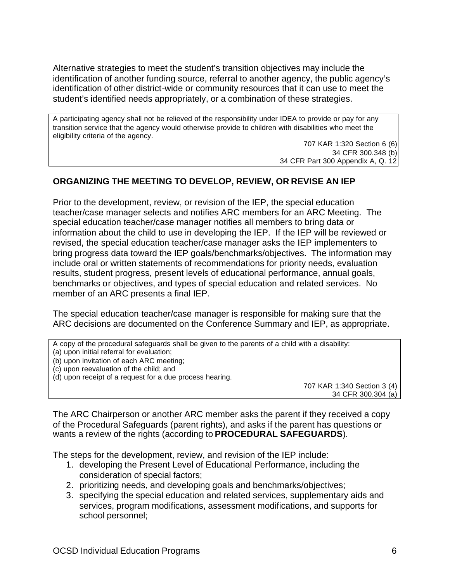Alternative strategies to meet the student's transition objectives may include the identification of another funding source, referral to another agency, the public agency's identification of other district-wide or community resources that it can use to meet the student's identified needs appropriately, or a combination of these strategies.

A participating agency shall not be relieved of the responsibility under IDEA to provide or pay for any transition service that the agency would otherwise provide to children with disabilities who meet the eligibility criteria of the agency.

707 KAR 1:320 Section 6 (6) 34 CFR 300.348 (b) 34 CFR Part 300 Appendix A, Q. 12

# **ORGANIZING THE MEETING TO DEVELOP, REVIEW, OR REVISE AN IEP**

Prior to the development, review, or revision of the IEP, the special education teacher/case manager selects and notifies ARC members for an ARC Meeting. The special education teacher/case manager notifies all members to bring data or information about the child to use in developing the IEP. If the IEP will be reviewed or revised, the special education teacher/case manager asks the IEP implementers to bring progress data toward the IEP goals/benchmarks/objectives. The information may include oral or written statements of recommendations for priority needs, evaluation results, student progress, present levels of educational performance, annual goals, benchmarks or objectives, and types of special education and related services. No member of an ARC presents a final IEP.

The special education teacher/case manager is responsible for making sure that the ARC decisions are documented on the Conference Summary and IEP, as appropriate.

A copy of the procedural safeguards shall be given to the parents of a child with a disability:

- (a) upon initial referral for evaluation;
- (b) upon invitation of each ARC meeting;
- (c) upon reevaluation of the child; and
- (d) upon receipt of a request for a due process hearing.

707 KAR 1:340 Section 3 (4) 34 CFR 300.304 (a)

The ARC Chairperson or another ARC member asks the parent if they received a copy of the Procedural Safeguards (parent rights), and asks if the parent has questions or wants a review of the rights (according to **PROCEDURAL SAFEGUARDS**).

The steps for the development, review, and revision of the IEP include:

- 1. developing the Present Level of Educational Performance, including the consideration of special factors;
- 2. prioritizing needs, and developing goals and benchmarks/objectives;
- 3. specifying the special education and related services, supplementary aids and services, program modifications, assessment modifications, and supports for school personnel;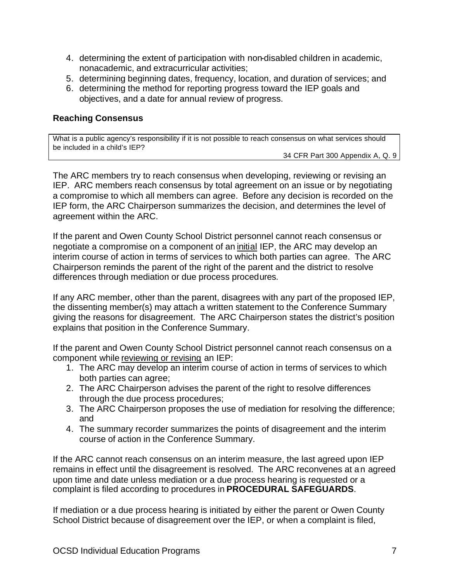- 4. determining the extent of participation with non-disabled children in academic, nonacademic, and extracurricular activities;
- 5. determining beginning dates, frequency, location, and duration of services; and
- 6. determining the method for reporting progress toward the IEP goals and objectives, and a date for annual review of progress.

# **Reaching Consensus**

What is a public agency's responsibility if it is not possible to reach consensus on what services should be included in a child's IEP?

34 CFR Part 300 Appendix A, Q. 9

The ARC members try to reach consensus when developing, reviewing or revising an IEP. ARC members reach consensus by total agreement on an issue or by negotiating a compromise to which all members can agree. Before any decision is recorded on the IEP form, the ARC Chairperson summarizes the decision, and determines the level of agreement within the ARC.

If the parent and Owen County School District personnel cannot reach consensus or negotiate a compromise on a component of an initial IEP, the ARC may develop an interim course of action in terms of services to which both parties can agree. The ARC Chairperson reminds the parent of the right of the parent and the district to resolve differences through mediation or due process procedures.

If any ARC member, other than the parent, disagrees with any part of the proposed IEP, the dissenting member(s) may attach a written statement to the Conference Summary giving the reasons for disagreement. The ARC Chairperson states the district's position explains that position in the Conference Summary.

If the parent and Owen County School District personnel cannot reach consensus on a component while reviewing or revising an IEP:

- 1. The ARC may develop an interim course of action in terms of services to which both parties can agree;
- 2. The ARC Chairperson advises the parent of the right to resolve differences through the due process procedures;
- 3. The ARC Chairperson proposes the use of mediation for resolving the difference; and
- 4. The summary recorder summarizes the points of disagreement and the interim course of action in the Conference Summary.

If the ARC cannot reach consensus on an interim measure, the last agreed upon IEP remains in effect until the disagreement is resolved. The ARC reconvenes at an agreed upon time and date unless mediation or a due process hearing is requested or a complaint is filed according to procedures in **PROCEDURAL SAFEGUARDS**.

If mediation or a due process hearing is initiated by either the parent or Owen County School District because of disagreement over the IEP, or when a complaint is filed,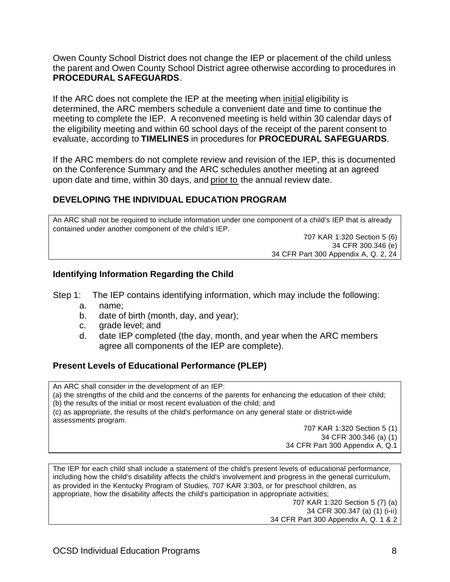Owen County School District does not change the IEP or placement of the child unless the parent and Owen County School District agree otherwise according to procedures in **PROCEDURAL SAFEGUARDS**.

If the ARC does not complete the IEP at the meeting when initial eligibility is determined, the ARC members schedule a convenient date and time to continue the meeting to complete the IEP. A reconvened meeting is held within 30 calendar days of the eligibility meeting and within 60 school days of the receipt of the parent consent to evaluate, according to **TIMELINES** in procedures for **PROCEDURAL SAFEGUARDS**.

If the ARC members do not complete review and revision of the IEP, this is documented on the Conference Summary and the ARC schedules another meeting at an agreed upon date and time, within 30 days, and prior to the annual review date.

# **DEVELOPING THE INDIVIDUAL EDUCATION PROGRAM**

An ARC shall not be required to include information under one component of a child's IEP that is already contained under another component of the child's IEP.

> 707 KAR 1:320 Section 5 (6) 34 CFR 300.346 (e) 34 CFR Part 300 Appendix A, Q. 2, 24

### **Identifying Information Regarding the Child**

Step 1: The IEP contains identifying information, which may include the following:

- a. name;
- b. date of birth (month, day, and year);
- c. grade level; and
- d. date IEP completed (the day, month, and year when the ARC members agree all components of the IEP are complete).

### **Present Levels of Educational Performance (PLEP)**

An ARC shall consider in the development of an IEP: (a) the strengths of the child and the concerns of the parents for enhancing the education of their child; (b) the results of the initial or most recent evaluation of the child; and (c) as appropriate, the results of the child's performance on any general state or district-wide assessments program. 707 KAR 1:320 Section 5 (1)

34 CFR 300.346 (a) (1) 34 CFR Part 300 Appendix A, Q.1

The IEP for each child shall include a statement of the child's present levels of educational performance, including how the child's disability affects the child's involvement and progress in the general curriculum, as provided in the Kentucky Program of Studies, 707 KAR 3:303, or for preschool children, as appropriate, how the disability affects the child's participation in appropriate activities; 707 KAR 1:320 Section 5 (7) (a)

34 CFR 300.347 (a) (1) (i-ii) 34 CFR Part 300 Appendix A, Q. 1 & 2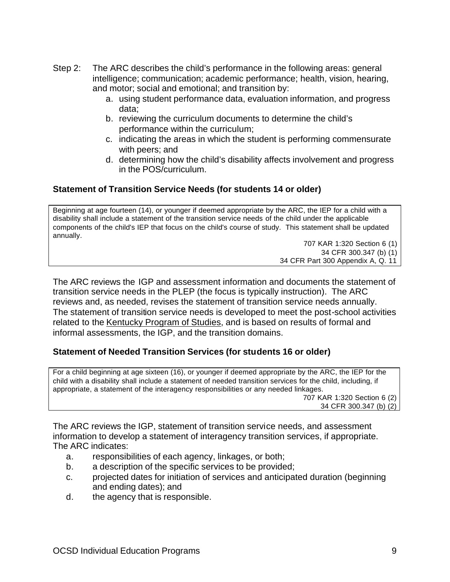- Step 2: The ARC describes the child's performance in the following areas: general intelligence; communication; academic performance; health, vision, hearing, and motor; social and emotional; and transition by:
	- a. using student performance data, evaluation information, and progress data;
	- b. reviewing the curriculum documents to determine the child's performance within the curriculum;
	- c. indicating the areas in which the student is performing commensurate with peers; and
	- d. determining how the child's disability affects involvement and progress in the POS/curriculum.

# **Statement of Transition Service Needs (for students 14 or older)**

Beginning at age fourteen (14), or younger if deemed appropriate by the ARC, the IEP for a child with a disability shall include a statement of the transition service needs of the child under the applicable components of the child's IEP that focus on the child's course of study. This statement shall be updated annually.

707 KAR 1:320 Section 6 (1) 34 CFR 300.347 (b) (1) 34 CFR Part 300 Appendix A, Q. 11

The ARC reviews the IGP and assessment information and documents the statement of transition service needs in the PLEP (the focus is typically instruction). The ARC reviews and, as needed, revises the statement of transition service needs annually. The statement of transition service needs is developed to meet the post-school activities related to the Kentucky Program of Studies, and is based on results of formal and informal assessments, the IGP, and the transition domains.

# **Statement of Needed Transition Services (for students 16 or older)**

For a child beginning at age sixteen (16), or younger if deemed appropriate by the ARC, the IEP for the child with a disability shall include a statement of needed transition services for the child, including, if appropriate, a statement of the interagency responsibilities or any needed linkages. 707 KAR 1:320 Section 6 (2)

34 CFR 300.347 (b) (2)

The ARC reviews the IGP, statement of transition service needs, and assessment information to develop a statement of interagency transition services, if appropriate. The ARC indicates:

- a. responsibilities of each agency, linkages, or both;
- b. a description of the specific services to be provided;
- c. projected dates for initiation of services and anticipated duration (beginning and ending dates); and
- d. the agency that is responsible.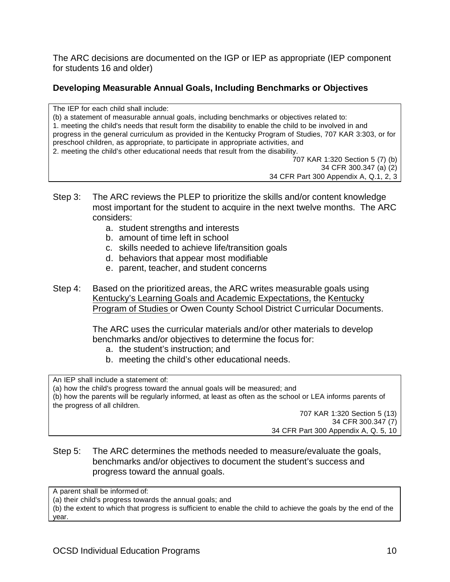The ARC decisions are documented on the IGP or IEP as appropriate (IEP component for students 16 and older)

# **Developing Measurable Annual Goals, Including Benchmarks or Objectives**

The IEP for each child shall include: (b) a statement of measurable annual goals, including benchmarks or objectives related to: 1. meeting the child's needs that result form the disability to enable the child to be involved in and progress in the general curriculum as provided in the Kentucky Program of Studies, 707 KAR 3:303, or for preschool children, as appropriate, to participate in appropriate activities, and 2. meeting the child's other educational needs that result from the disability. 707 KAR 1:320 Section 5 (7) (b)

34 CFR 300.347 (a) (2)

34 CFR Part 300 Appendix A, Q.1, 2, 3

- Step 3: The ARC reviews the PLEP to prioritize the skills and/or content knowledge most important for the student to acquire in the next twelve months. The ARC considers:
	- a. student strengths and interests
	- b. amount of time left in school
	- c. skills needed to achieve life/transition goals
	- d. behaviors that appear most modifiable
	- e. parent, teacher, and student concerns
- Step 4: Based on the prioritized areas, the ARC writes measurable goals using Kentucky's Learning Goals and Academic Expectations, the Kentucky Program of Studies or Owen County School District Curricular Documents.

The ARC uses the curricular materials and/or other materials to develop benchmarks and/or objectives to determine the focus for:

- a. the student's instruction; and
- b. meeting the child's other educational needs.

An IEP shall include a statement of:

(a) how the child's progress toward the annual goals will be measured; and (b) how the parents will be regularly informed, at least as often as the school or LEA informs parents of

the progress of all children.

707 KAR 1:320 Section 5 (13) 34 CFR 300.347 (7) 34 CFR Part 300 Appendix A, Q. 5, 10

## Step 5: The ARC determines the methods needed to measure/evaluate the goals, benchmarks and/or objectives to document the student's success and progress toward the annual goals.

A parent shall be informed of:

(a) their child's progress towards the annual goals; and

(b) the extent to which that progress is sufficient to enable the child to achieve the goals by the end of the year.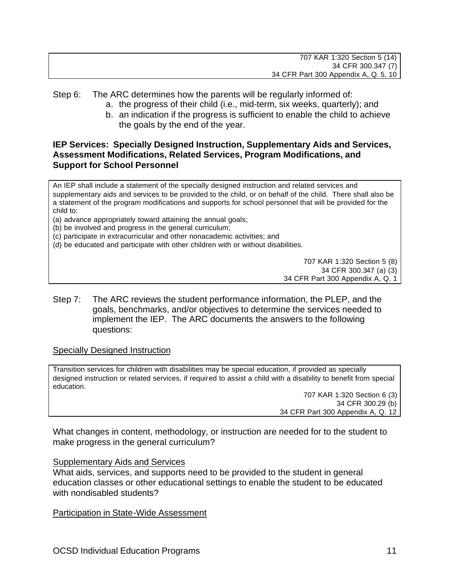Step 6: The ARC determines how the parents will be regularly informed of:

- a. the progress of their child (i.e., mid-term, six weeks, quarterly); and
- b. an indication if the progress is sufficient to enable the child to achieve the goals by the end of the year.

# **IEP Services: Specially Designed Instruction, Supplementary Aids and Services, Assessment Modifications, Related Services, Program Modifications, and Support for School Personnel**

An IEP shall include a statement of the specially designed instruction and related services and supplementary aids and services to be provided to the child, or on behalf of the child. There shall also be a statement of the program modifications and supports for school personnel that will be provided for the child to:

(a) advance appropriately toward attaining the annual goals;

(b) be involved and progress in the general curriculum;

(c) participate in extracurricular and other nonacademic activities; and

(d) be educated and participate with other children with or without disabilities.

707 KAR 1:320 Section 5 (8) 34 CFR 300.347 (a) (3) 34 CFR Part 300 Appendix A, Q. 1

Step 7: The ARC reviews the student performance information, the PLEP, and the goals, benchmarks, and/or objectives to determine the services needed to implement the IEP. The ARC documents the answers to the following questions:

### Specially Designed Instruction

Transition services for children with disabilities may be special education, if provided as specially designed instruction or related services, if required to assist a child with a disability to benefit from special education.

> 707 KAR 1:320 Section 6 (3) 34 CFR 300.29 (b) 34 CFR Part 300 Appendix A, Q. 12

What changes in content, methodology, or instruction are needed for to the student to make progress in the general curriculum?

### Supplementary Aids and Services

What aids, services, and supports need to be provided to the student in general education classes or other educational settings to enable the student to be educated with nondisabled students?

Participation in State-Wide Assessment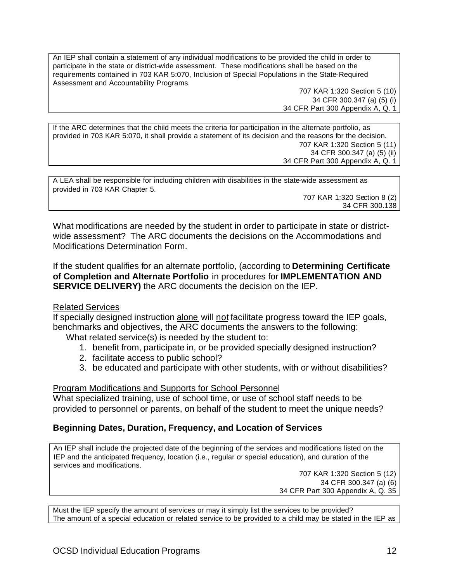An IEP shall contain a statement of any individual modifications to be provided the child in order to participate in the state or district-wide assessment. These modifications shall be based on the requirements contained in 703 KAR 5:070, Inclusion of Special Populations in the State-Required Assessment and Accountability Programs.

> 707 KAR 1:320 Section 5 (10) 34 CFR 300.347 (a) (5) (i) 34 CFR Part 300 Appendix A, Q. 1

If the ARC determines that the child meets the criteria for participation in the alternate portfolio, as provided in 703 KAR 5:070, it shall provide a statement of its decision and the reasons for the decision. 707 KAR 1:320 Section 5 (11) 34 CFR 300.347 (a) (5) (ii) 34 CFR Part 300 Appendix A, Q. 1

| A LEA shall be responsible for including children with disabilities in the state-wide assessment as |  |
|-----------------------------------------------------------------------------------------------------|--|
| provided in 703 KAR Chapter 5.                                                                      |  |
| 707 KAR 1:320 Section 8 (2)                                                                         |  |
| 34 CFR 300.138                                                                                      |  |

What modifications are needed by the student in order to participate in state or districtwide assessment? The ARC documents the decisions on the Accommodations and Modifications Determination Form.

If the student qualifies for an alternate portfolio, (according to **Determining Certificate of Completion and Alternate Portfolio** in procedures for **IMPLEMENTATION AND SERVICE DELIVERY)** the ARC documents the decision on the IEP.

### Related Services

If specially designed instruction alone will not facilitate progress toward the IEP goals, benchmarks and objectives, the ARC documents the answers to the following:

What related service(s) is needed by the student to:

- 1. benefit from, participate in, or be provided specially designed instruction?
- 2. facilitate access to public school?
- 3. be educated and participate with other students, with or without disabilities?

#### Program Modifications and Supports for School Personnel

What specialized training, use of school time, or use of school staff needs to be provided to personnel or parents, on behalf of the student to meet the unique needs?

### **Beginning Dates, Duration, Frequency, and Location of Services**

An IEP shall include the projected date of the beginning of the services and modifications listed on the IEP and the anticipated frequency, location (i.e., regular or special education), and duration of the services and modifications.

707 KAR 1:320 Section 5 (12) 34 CFR 300.347 (a) (6) 34 CFR Part 300 Appendix A, Q. 35

Must the IEP specify the amount of services or may it simply list the services to be provided? The amount of a special education or related service to be provided to a child may be stated in the IEP as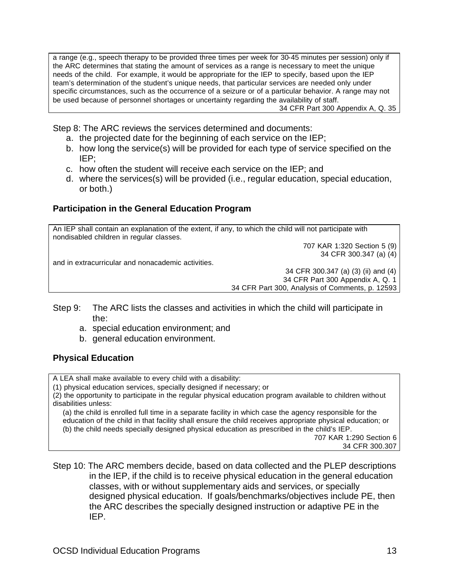a range (e.g., speech therapy to be provided three times per week for 30-45 minutes per session) only if the ARC determines that stating the amount of services as a range is necessary to meet the unique needs of the child. For example, it would be appropriate for the IEP to specify, based upon the IEP team's determination of the student's unique needs, that particular services are needed only under specific circumstances, such as the occurrence of a seizure or of a particular behavior. A range may not be used because of personnel shortages or uncertainty regarding the availability of staff. 34 CFR Part 300 Appendix A, Q. 35

Step 8: The ARC reviews the services determined and documents:

- a. the projected date for the beginning of each service on the IEP;
- b. how long the service(s) will be provided for each type of service specified on the IEP;
- c. how often the student will receive each service on the IEP; and
- d. where the services(s) will be provided (i.e., regular education, special education, or both.)

# **Participation in the General Education Program**

An IEP shall contain an explanation of the extent, if any, to which the child will not participate with nondisabled children in regular classes.

707 KAR 1:320 Section 5 (9) 34 CFR 300.347 (a) (4)

and in extracurricular and nonacademic activities.

34 CFR 300.347 (a) (3) (ii) and (4) 34 CFR Part 300 Appendix A, Q. 1 34 CFR Part 300, Analysis of Comments, p. 12593

- Step 9: The ARC lists the classes and activities in which the child will participate in the:
	- a. special education environment; and
	- b. general education environment.

# **Physical Education**

A LEA shall make available to every child with a disability:

(1) physical education services, specially designed if necessary; or

(2) the opportunity to participate in the regular physical education program available to children without disabilities unless:

(a) the child is enrolled full time in a separate facility in which case the agency responsible for the education of the child in that facility shall ensure the child receives appropriate physical education; or (b) the child needs specially designed physical education as prescribed in the child's IEP.

707 KAR 1:290 Section 6 34 CFR 300.307

Step 10: The ARC members decide, based on data collected and the PLEP descriptions in the IEP, if the child is to receive physical education in the general education classes, with or without supplementary aids and services, or specially designed physical education. If goals/benchmarks/objectives include PE, then the ARC describes the specially designed instruction or adaptive PE in the IEP.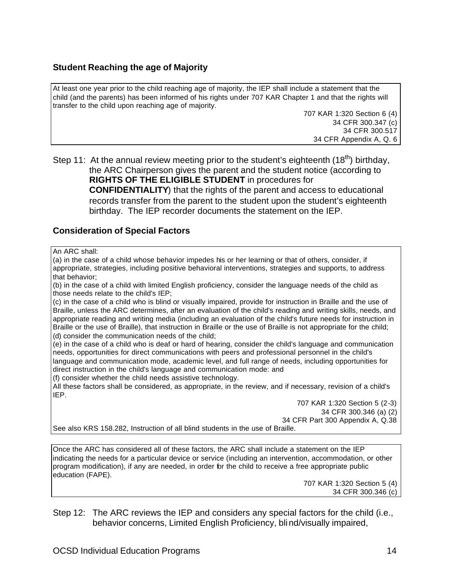### **Student Reaching the age of Majority**

At least one year prior to the child reaching age of majority, the IEP shall include a statement that the child (and the parents) has been informed of his rights under 707 KAR Chapter 1 and that the rights will transfer to the child upon reaching age of majority.

> 707 KAR 1:320 Section 6 (4) 34 CFR 300.347 (c) 34 CFR 300.517 34 CFR Appendix A, Q. 6

Step 11: At the annual review meeting prior to the student's eighteenth  $(18<sup>th</sup>)$  birthday, the ARC Chairperson gives the parent and the student notice (according to **RIGHTS OF THE ELIGIBLE STUDENT** in procedures for **CONFIDENTIALITY**) that the rights of the parent and access to educational records transfer from the parent to the student upon the student's eighteenth birthday. The IEP recorder documents the statement on the IEP.

## **Consideration of Special Factors**

An ARC shall:

(a) in the case of a child whose behavior impedes his or her learning or that of others, consider, if appropriate, strategies, including positive behavioral interventions, strategies and supports, to address that behavior;

(b) in the case of a child with limited English proficiency, consider the language needs of the child as those needs relate to the child's IEP;

(c) in the case of a child who is blind or visually impaired, provide for instruction in Braille and the use of Braille, unless the ARC determines, after an evaluation of the child's reading and writing skills, needs, and appropriate reading and writing media (including an evaluation of the child's future needs for instruction in Braille or the use of Braille), that instruction in Braille or the use of Braille is not appropriate for the child; (d) consider the communication needs of the child;

(e) in the case of a child who is deaf or hard of hearing, consider the child's language and communication needs, opportunities for direct communications with peers and professional personnel in the child's language and communication mode, academic level, and full range of needs, including opportunities for direct instruction in the child's language and communication mode: and

(f) consider whether the child needs assistive technology.

All these factors shall be considered, as appropriate, in the review, and if necessary, revision of a child's IEP.

> 707 KAR 1:320 Section 5 (2-3) 34 CFR 300.346 (a) (2) 34 CFR Part 300 Appendix A, Q.38

See also KRS 158.282, Instruction of all blind students in the use of Braille.

Once the ARC has considered all of these factors, the ARC shall include a statement on the IEP indicating the needs for a particular device or service (including an intervention, accommodation, or other program modification), if any are needed, in order for the child to receive a free appropriate public education (FAPE).

> 707 KAR 1:320 Section 5 (4) 34 CFR 300.346 (c)

Step 12: The ARC reviews the IEP and considers any special factors for the child (i.e., behavior concerns, Limited English Proficiency, blind/visually impaired,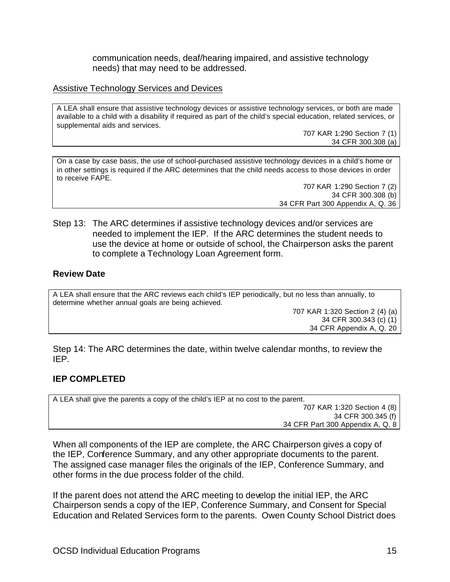communication needs, deaf/hearing impaired, and assistive technology needs) that may need to be addressed.

#### Assistive Technology Services and Devices

A LEA shall ensure that assistive technology devices or assistive technology services, or both are made available to a child with a disability if required as part of the child's special education, related services, or supplemental aids and services.

> 707 KAR 1:290 Section 7 (1) 34 CFR 300.308 (a)

On a case by case basis, the use of school-purchased assistive technology devices in a child's home or in other settings is required if the ARC determines that the child needs access to those devices in order to receive FAPE.

> 707 KAR 1:290 Section 7 (2) 34 CFR 300.308 (b) 34 CFR Part 300 Appendix A, Q. 36

Step 13: The ARC determines if assistive technology devices and/or services are needed to implement the IEP. If the ARC determines the student needs to use the device at home or outside of school, the Chairperson asks the parent to complete a Technology Loan Agreement form.

#### **Review Date**

A LEA shall ensure that the ARC reviews each child's IEP periodically, but no less than annually, to determine whet her annual goals are being achieved.

707 KAR 1:320 Section 2 (4) (a) 34 CFR 300.343 (c) (1) 34 CFR Appendix A, Q. 20

Step 14: The ARC determines the date, within twelve calendar months, to review the IEP.

### **IEP COMPLETED**

A LEA shall give the parents a copy of the child's IEP at no cost to the parent. 707 KAR 1:320 Section 4 (8) 34 CFR 300.345 (f) 34 CFR Part 300 Appendix A, Q. 8

When all components of the IEP are complete, the ARC Chairperson gives a copy of the IEP, Conference Summary, and any other appropriate documents to the parent. The assigned case manager files the originals of the IEP, Conference Summary, and other forms in the due process folder of the child.

If the parent does not attend the ARC meeting to develop the initial IEP, the ARC Chairperson sends a copy of the IEP, Conference Summary, and Consent for Special Education and Related Services form to the parents. Owen County School District does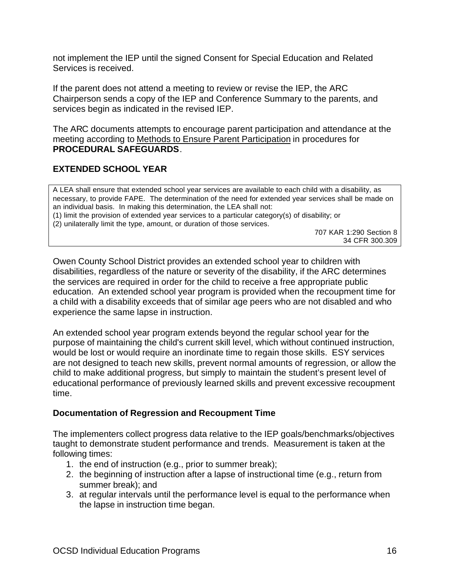not implement the IEP until the signed Consent for Special Education and Related Services is received.

If the parent does not attend a meeting to review or revise the IEP, the ARC Chairperson sends a copy of the IEP and Conference Summary to the parents, and services begin as indicated in the revised IEP.

The ARC documents attempts to encourage parent participation and attendance at the meeting according to Methods to Ensure Parent Participation in procedures for **PROCEDURAL SAFEGUARDS**.

## **EXTENDED SCHOOL YEAR**

A LEA shall ensure that extended school year services are available to each child with a disability, as necessary, to provide FAPE. The determination of the need for extended year services shall be made on an individual basis. In making this determination, the LEA shall not: (1) limit the provision of extended year services to a particular category(s) of disability; or (2) unilaterally limit the type, amount, or duration of those services.

707 KAR 1:290 Section 8 34 CFR 300.309

Owen County School District provides an extended school year to children with disabilities, regardless of the nature or severity of the disability, if the ARC determines the services are required in order for the child to receive a free appropriate public education. An extended school year program is provided when the recoupment time for a child with a disability exceeds that of similar age peers who are not disabled and who experience the same lapse in instruction.

An extended school year program extends beyond the regular school year for the purpose of maintaining the child's current skill level, which without continued instruction, would be lost or would require an inordinate time to regain those skills. ESY services are not designed to teach new skills, prevent normal amounts of regression, or allow the child to make additional progress, but simply to maintain the student's present level of educational performance of previously learned skills and prevent excessive recoupment time.

### **Documentation of Regression and Recoupment Time**

The implementers collect progress data relative to the IEP goals/benchmarks/objectives taught to demonstrate student performance and trends. Measurement is taken at the following times:

- 1. the end of instruction (e.g., prior to summer break);
- 2. the beginning of instruction after a lapse of instructional time (e.g., return from summer break); and
- 3. at regular intervals until the performance level is equal to the performance when the lapse in instruction time began.